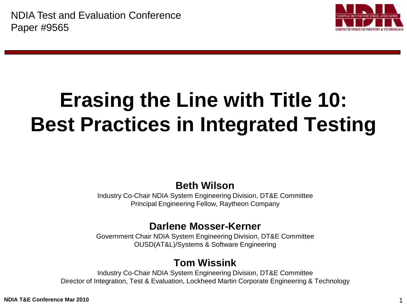

# **Erasing the Line with Title 10: Best Practices in Integrated Testing**

**Beth Wilson**

Industry Co-Chair NDIA System Engineering Division, DT&E Committee Principal Engineering Fellow, Raytheon Company

#### **Darlene Mosser-Kerner**

Government Chair NDIA System Engineering Division, DT&E Committee OUSD(AT&L)/Systems & Software Engineering

#### **Tom Wissink**

Industry Co-Chair NDIA System Engineering Division, DT&E Committee Director of Integration, Test & Evaluation, Lockheed Martin Corporate Engineering & Technology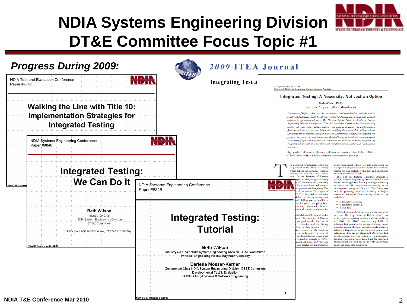

### **NDIA Systems Engineering Division DT&E Committee Focus Topic #1**

| Paper #7847                 | NDIA Test and Evaluation Conference                                                                      | <b>Integrating Test at</b><br>NIZIN                                                                                                        | ITEA Journal 2009; 30: 375-380<br>Copyright © 2009 by the International Test and Evaluation Association                                                                                                                                                                                                                                                                                                                                                                                                                                                                                                                                                                                                                                                                                                                                                                                                                                                                                                                                                                                                                                                                  |
|-----------------------------|----------------------------------------------------------------------------------------------------------|--------------------------------------------------------------------------------------------------------------------------------------------|--------------------------------------------------------------------------------------------------------------------------------------------------------------------------------------------------------------------------------------------------------------------------------------------------------------------------------------------------------------------------------------------------------------------------------------------------------------------------------------------------------------------------------------------------------------------------------------------------------------------------------------------------------------------------------------------------------------------------------------------------------------------------------------------------------------------------------------------------------------------------------------------------------------------------------------------------------------------------------------------------------------------------------------------------------------------------------------------------------------------------------------------------------------------------|
|                             |                                                                                                          |                                                                                                                                            | Integrated Testing: A Necessity, Not Just an Option                                                                                                                                                                                                                                                                                                                                                                                                                                                                                                                                                                                                                                                                                                                                                                                                                                                                                                                                                                                                                                                                                                                      |
|                             | <b>Walking the Line with Title 10:</b>                                                                   |                                                                                                                                            | Beth Wilson, Ph.D.<br>Raytheon Company, Sudbury, Massachusetts                                                                                                                                                                                                                                                                                                                                                                                                                                                                                                                                                                                                                                                                                                                                                                                                                                                                                                                                                                                                                                                                                                           |
| Paper #8848                 | <b>Implementation Strategies for</b><br><b>Integrated Testing</b><br>NDIA Systems Engineering Conference | <u> Tri i </u><br><b>NICH</b>                                                                                                              | Department of Defense policy states that developmental and operational test activities need to<br>be integrated whenever possible to improve overall test and evaluation efficiency with increased<br>emphasis on operational relevance. The National Defense Industrial Association Systems<br>Engineering Division Developmental Test and Evaluation Committee has been evaluating<br>existing integrated testing policies, methods, and practices to identify an implementation<br>framework with best practices for sharing data, involving developmental test and operational<br>test stakeholders in integrated test planning, and collaboratively executing an integrated test<br>program. Barriers to integrated testing were identified looking at the cultural constraints placed<br>on planning, people, and data. While the definitions and mandates are recent, the practice of<br>integrated testing is not new. The framework described focuses on existing policy and captures<br>best practices.<br>Key words: Collaborative planning; collaborative execution; shared data; DT&E<br>OT&E Army; Navy; Air Force; contractor support; resource planning. |
|                             | <b>Integrated Testing:</b>                                                                               |                                                                                                                                            | he motivation for integrated testing has<br>strategy and amplifies this by describing the concept as<br>long existed in the desire to identify<br>a single test program to address issues from develop-<br>system deficiencies early, meet schedule<br>mental test and evaluation (DT&E) and operational<br>test and evaluation (OT&E).<br>compression demands, and reduce<br>costs. In the Secretary of Defense<br>The National Defense Industrial Association                                                                                                                                                                                                                                                                                                                                                                                                                                                                                                                                                                                                                                                                                                          |
| <b>NDIA T&amp;E Confere</b> | We Can Do It                                                                                             | NDIA Systems Engineering Conference<br>Paper #8818                                                                                         | pril 6, 2009, integrated testing<br>(NDIA) Systems Engineering Division DT&E Com-<br>mittee was charged with focusing on integrated testing<br>of the initiatives successfully<br>orm acquisition and require-<br>in view of the OSD memorandum mandating the use<br>provides the Integrating Test<br>of integrated testing (OSD 2007). The Committee<br>of that memo. The purpose of<br>used the preceding definition to develop an imple-<br>&E) is described as translating<br>mentation framework from the key points in the<br>edge to support management<br>definition:<br>ith fielding system capabilities.<br>· collaborative planning,                                                                                                                                                                                                                                                                                                                                                                                                                                                                                                                          |
|                             | Beth Wilson                                                                                              |                                                                                                                                            | he integrated test policy is to<br>· collaborative execution.<br>mentary relationship between<br>· shared data.<br>ational testing throughout the<br>While the formal definition is recent, the concept is                                                                                                                                                                                                                                                                                                                                                                                                                                                                                                                                                                                                                                                                                                                                                                                                                                                                                                                                                               |
|                             | Industry Co-Chair<br>NDIA System Engineering Division                                                    | <b>Integrated Testing:</b>                                                                                                                 | not new. The Department of Defense (DoD) has<br>al definition of integrated testing<br>written policies regarding combined activities relating<br>x of the Secretary of Defense<br>cosigned by the Director of<br>to DT&E and OT&E since the early 1970s. In                                                                                                                                                                                                                                                                                                                                                                                                                                                                                                                                                                                                                                                                                                                                                                                                                                                                                                             |
|                             | DT&E Committee<br>Principal Engineering Fellow, Raytheon Company                                         | <b>Tutorial</b>                                                                                                                            | Evaluation and the Deputy<br>soliciting best practices for integrated testing, many<br>examples emerge showing successful implementation<br>ense for Acquisition and Tech-<br>on focused on the need for<br>before the Department issued the recent policies and<br>definitions. The Army, Navy, and Air Force had<br>and collaborative execution of<br>de shared data for independent<br>already defined integrated testing in their respective<br><b>Acquisition Guidebook (DAG)</b><br>test and evaluation policies. Table 1 lists the integrated                                                                                                                                                                                                                                                                                                                                                                                                                                                                                                                                                                                                                     |
|                             |                                                                                                          |                                                                                                                                            |                                                                                                                                                                                                                                                                                                                                                                                                                                                                                                                                                                                                                                                                                                                                                                                                                                                                                                                                                                                                                                                                                                                                                                          |
|                             | <b>NDIA SE Conference Oct 2009</b>                                                                       | <b>Beth Wilson</b><br>Industry Co-Chair NDIA System Engineering Division, DT&E Committee<br>Principal Engineering Fellow, Raytheon Company | testing definitions identified in the DoD and Services<br>aluation) (DoD, 2009) has long<br>an integrated test and evaluation<br>policy and procedure documents.                                                                                                                                                                                                                                                                                                                                                                                                                                                                                                                                                                                                                                                                                                                                                                                                                                                                                                                                                                                                         |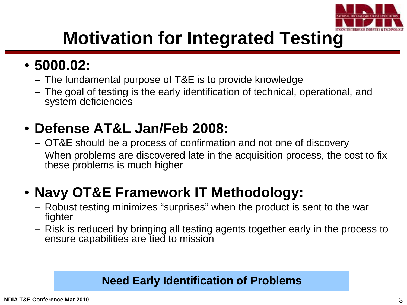

## **Motivation for Integrated Testing**

### • **5000.02:**

- The fundamental purpose of T&E is to provide knowledge
- The goal of testing is the early identification of technical, operational, and system deficiencies

### • **Defense AT&L Jan/Feb 2008:**

- OT&E should be a process of confirmation and not one of discovery
- When problems are discovered late in the acquisition process, the cost to fix these problems is much higher

### • **Navy OT&E Framework IT Methodology:**

- Robust testing minimizes "surprises" when the product is sent to the war fighter
- Risk is reduced by bringing all testing agents together early in the process to ensure capabilities are tied to mission

### **Need Early Identification of Problems**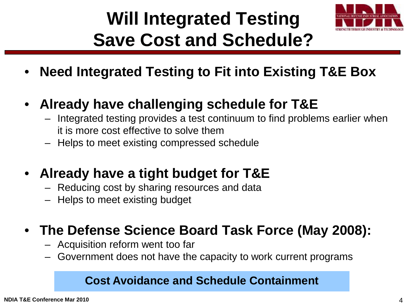# **Will Integrated Testing Save Cost and Schedule?**



- **Need Integrated Testing to Fit into Existing T&E Box**
- **Already have challenging schedule for T&E**
	- Integrated testing provides a test continuum to find problems earlier when it is more cost effective to solve them
	- Helps to meet existing compressed schedule
- **Already have a tight budget for T&E**
	- Reducing cost by sharing resources and data
	- Helps to meet existing budget

### • **The Defense Science Board Task Force (May 2008):**

- Acquisition reform went too far
- Government does not have the capacity to work current programs

### **Cost Avoidance and Schedule Containment**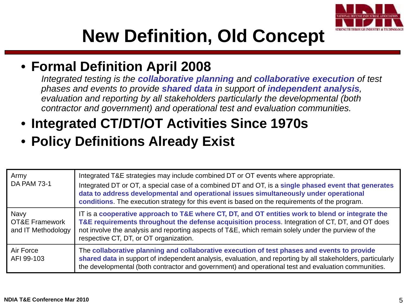

## **New Definition, Old Concept**

### • **Formal Definition April 2008**

*Integrated testing is the collaborative planning and collaborative execution of test phases and events to provide shared data in support of independent analysis, evaluation and reporting by all stakeholders particularly the developmental (both contractor and government) and operational test and evaluation communities.*

### • **Integrated CT/DT/OT Activities Since 1970s**

### • **Policy Definitions Already Exist**

| Army<br><b>DA PAM 73-1</b>                              | Integrated T&E strategies may include combined DT or OT events where appropriate.<br>Integrated DT or OT, a special case of a combined DT and OT, is a single phased event that generates<br>data to address developmental and operational issues simultaneously under operational<br>conditions. The execution strategy for this event is based on the requirements of the program. |
|---------------------------------------------------------|--------------------------------------------------------------------------------------------------------------------------------------------------------------------------------------------------------------------------------------------------------------------------------------------------------------------------------------------------------------------------------------|
| Navy<br><b>OT&amp;E Framework</b><br>and IT Methodology | IT is a cooperative approach to T&E where CT, DT, and OT entities work to blend or integrate the<br>T&E requirements throughout the defense acquisition process. Integration of CT, DT, and OT does<br>not involve the analysis and reporting aspects of T&E, which remain solely under the purview of the<br>respective CT, DT, or OT organization.                                 |
| Air Force<br>AFI 99-103                                 | The collaborative planning and collaborative execution of test phases and events to provide<br>shared data in support of independent analysis, evaluation, and reporting by all stakeholders, particularly<br>the developmental (both contractor and government) and operational test and evaluation communities.                                                                    |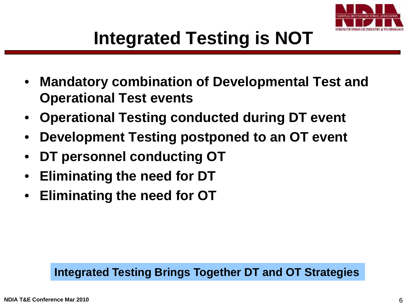

- **Mandatory combination of Developmental Test and Operational Test events**
- **Operational Testing conducted during DT event**
- **Development Testing postponed to an OT event**
- **DT personnel conducting OT**
- **Eliminating the need for DT**
- **Eliminating the need for OT**

### **Integrated Testing Brings Together DT and OT Strategies**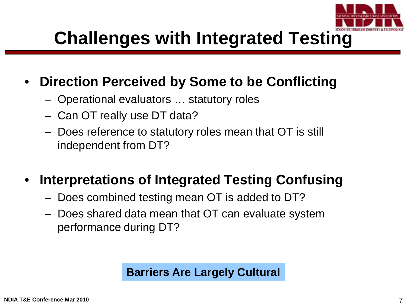

## **Challenges with Integrated Testing**

### • **Direction Perceived by Some to be Conflicting**

- Operational evaluators … statutory roles
- Can OT really use DT data?
- Does reference to statutory roles mean that OT is still independent from DT?

### • **Interpretations of Integrated Testing Confusing**

- Does combined testing mean OT is added to DT?
- Does shared data mean that OT can evaluate system performance during DT?

#### **Barriers Are Largely Cultural**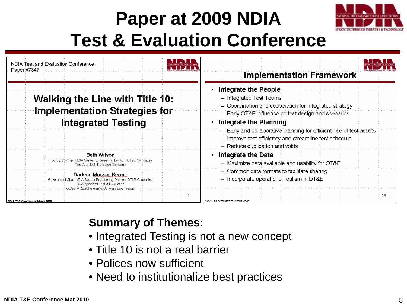# **Paper at 2009 NDIA Test & Evaluation Conference**



| NDIA Test and Evaluation Conference<br>Paper #7847                                                                                                                                                                                                                                                                                     | <b>Implementation Framework</b>                                                                                                                                                                                                                                                                                                                                   |
|----------------------------------------------------------------------------------------------------------------------------------------------------------------------------------------------------------------------------------------------------------------------------------------------------------------------------------------|-------------------------------------------------------------------------------------------------------------------------------------------------------------------------------------------------------------------------------------------------------------------------------------------------------------------------------------------------------------------|
| <b>Walking the Line with Title 10:</b><br><b>Implementation Strategies for</b><br><b>Integrated Testing</b>                                                                                                                                                                                                                            | Integrate the People<br>- Integrated Test Teams<br>$-$ Coordination and cooperation for integrated strategy<br>- Early OT&E influence on test design and scenarios<br>Integrate the Planning<br>- Early and collaborative planning for efficient use of test assets<br>- Improve test efficiency and streamline test schedule<br>$-$ Reduce duplication and voids |
| Beth Wilson<br>Industry Co-Chair NDIA System Engineering Division, DT&E Committee<br>Test Architect, Raytheon Company<br>Darlene Mosser-Kerner<br>Government Chair NDIA: System Engineering Division, DT&E Committee<br>Developmental Test & Evaluation<br>OUSD(AT&L)/Systems & Software Engineering<br>NDIA T&E Conference March 2009 | <b>Integrate the Data</b><br>٠<br>$-$ Maximize data available and usability for $\overline{OT8E}$<br>- Common data formats to facilitate sharing<br>$-$ Incorporate operational realism in DT&E<br>14<br>NDIA T&E Conference March 2009                                                                                                                           |

### **Summary of Themes:**

- Integrated Testing is not a new concept
- Title 10 is not a real barrier
- Polices now sufficient
- Need to institutionalize best practices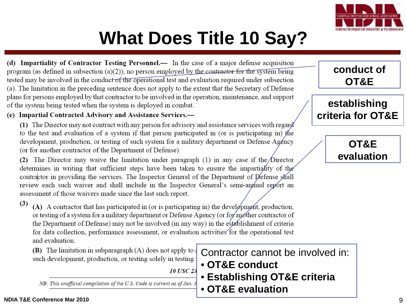

## **What Does Title 10 Say?**

(d) Impartiality of Contractor Testing Personnel.— In the case of a major defense acquisition program (as defined in subsection  $(a)(2)$ ), no person employed by the contractor for the system being tested may be involved in the conduct of the operational test and evaluation required under subsection (a). The limitation in the preceding sentence does not apply to the extent that the Secretary of Defense plans for persons employed by that contractor to be involved in the operation, maintenance, and support of the system being tested when the system is deployed in combat.

#### (e) Impartial Contracted Advisory and Assistance Services.—

(1) The Director may not contract with any person for advisory and assistance services with regard to the test and evaluation of a system if that person participated in (or is participating in) the development, production, or testing of such system for a military department or Defense Agency (or for another contractor of the Department of Defense).

(2) The Director may waive the limitation under paragraph (1) in any case if the Director determines in writing that sufficient steps have been taken to ensure the impartiality of the contractor in providing the services. The Inspector General of the Department of Defense shall review each such waiver and shall include in the Inspector General's semi-annual report an assessment of those waivers made since the last such report.

 $(3)$ (A) A contractor that has participated in (or is participating in) the development, production, or testing of a system for a military department or Defense Agency (or for another contractor of the Department of Defense) may not be involved (in any way) in the establishment of criteria for data collection, performance assessment, or evaluation activities for the operational test and evaluation.

**(B)** The limitation in subparagraph  $(A)$  does not apply to a such development, production, or testing solely in testing

*10 USC 23* 

NB: This unofficial compilation of the U.S. Code is current as of Jan. 3

Contractor cannot be involved in:

- **OT&E conduct**
- **Establishing OT&E criteria**
- **OT&E evaluation**

#### **conduct of OT&E**

#### **establishing criteria for OT&E**

**OT&E evaluation**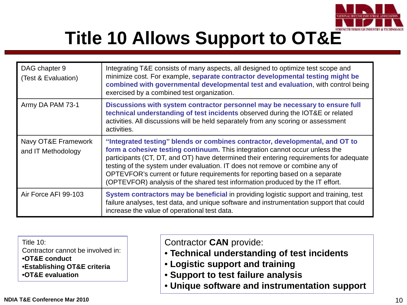

# **Title 10 Allows Support to OT&E**

| DAG chapter 9<br>(Test & Evaluation)      | Integrating T&E consists of many aspects, all designed to optimize test scope and<br>minimize cost. For example, separate contractor developmental testing might be<br>combined with governmental developmental test and evaluation, with control being<br>exercised by a combined test organization.                                                                                                                                                                                                 |
|-------------------------------------------|-------------------------------------------------------------------------------------------------------------------------------------------------------------------------------------------------------------------------------------------------------------------------------------------------------------------------------------------------------------------------------------------------------------------------------------------------------------------------------------------------------|
| Army DA PAM 73-1                          | Discussions with system contractor personnel may be necessary to ensure full<br>technical understanding of test incidents observed during the IOT&E or related<br>activities. All discussions will be held separately from any scoring or assessment<br>activities.                                                                                                                                                                                                                                   |
| Navy OT&E Framework<br>and IT Methodology | "Integrated testing" blends or combines contractor, developmental, and OT to<br>form a cohesive testing continuum. This integration cannot occur unless the<br>participants (CT, DT, and OT) have determined their entering requirements for adequate<br>testing of the system under evaluation. IT does not remove or combine any of<br>OPTEVFOR's current or future requirements for reporting based on a separate<br>(OPTEVFOR) analysis of the shared test information produced by the IT effort. |
| Air Force AFI 99-103                      | System contractors may be beneficial in providing logistic support and training, test<br>failure analyses, test data, and unique software and instrumentation support that could<br>increase the value of operational test data.                                                                                                                                                                                                                                                                      |

Title 10:

Contractor cannot be involved in:

•**OT&E conduct**

•**Establishing OT&E criteria** 

•**OT&E evaluation** 

Contractor **CAN** provide:

- **Technical understanding of test incidents**
- **Logistic support and training**
- **Support to test failure analysis**
- **Unique software and instrumentation support**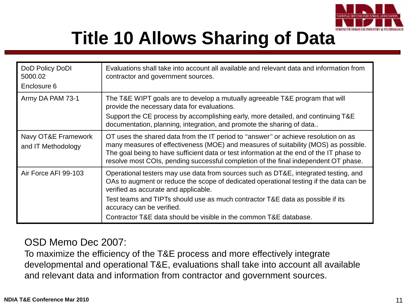

# **Title 10 Allows Sharing of Data**

| DoD Policy DoDI<br>5000.02<br>Enclosure 6 | Evaluations shall take into account all available and relevant data and information from<br>contractor and government sources.                                                                                                                                                                                                                                                                            |
|-------------------------------------------|-----------------------------------------------------------------------------------------------------------------------------------------------------------------------------------------------------------------------------------------------------------------------------------------------------------------------------------------------------------------------------------------------------------|
| Army DA PAM 73-1                          | The T&E WIPT goals are to develop a mutually agreeable T&E program that will<br>provide the necessary data for evaluations.<br>Support the CE process by accomplishing early, more detailed, and continuing T&E<br>documentation, planning, integration, and promote the sharing of data                                                                                                                  |
| Navy OT&E Framework<br>and IT Methodology | OT uses the shared data from the IT period to "answer" or achieve resolution on as<br>many measures of effectiveness (MOE) and measures of suitability (MOS) as possible.<br>The goal being to have sufficient data or test information at the end of the IT phase to<br>resolve most COIs, pending successful completion of the final independent OT phase.                                              |
| Air Force AFI 99-103                      | Operational testers may use data from sources such as DT&E, integrated testing, and<br>OAs to augment or reduce the scope of dedicated operational testing if the data can be<br>verified as accurate and applicable.<br>Test teams and TIPTs should use as much contractor T&E data as possible if its<br>accuracy can be verified.<br>Contractor T&E data should be visible in the common T&E database. |

#### OSD Memo Dec 2007:

To maximize the efficiency of the T&E process and more effectively integrate developmental and operational T&E, evaluations shall take into account all available and relevant data and information from contractor and government sources.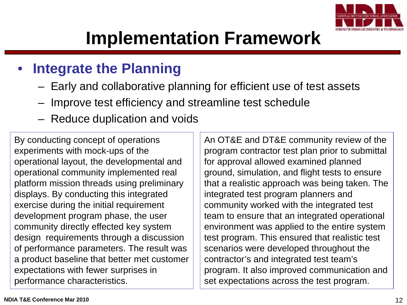

## **Implementation Framework**

### • **Integrate the Planning**

- Early and collaborative planning for efficient use of test assets
- Improve test efficiency and streamline test schedule
- Reduce duplication and voids

By conducting concept of operations experiments with mock-ups of the operational layout, the developmental and operational community implemented real platform mission threads using preliminary displays. By conducting this integrated exercise during the initial requirement development program phase, the user community directly effected key system design requirements through a discussion of performance parameters. The result was a product baseline that better met customer expectations with fewer surprises in performance characteristics.

An OT&E and DT&E community review of the program contractor test plan prior to submittal for approval allowed examined planned ground, simulation, and flight tests to ensure that a realistic approach was being taken. The integrated test program planners and community worked with the integrated test team to ensure that an integrated operational environment was applied to the entire system test program. This ensured that realistic test scenarios were developed throughout the contractor's and integrated test team's program. It also improved communication and set expectations across the test program.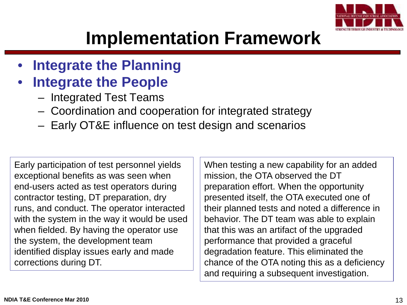

## **Implementation Framework**

- **Integrate the Planning**
- **Integrate the People** 
	- Integrated Test Teams
	- Coordination and cooperation for integrated strategy
	- Early OT&E influence on test design and scenarios

Early participation of test personnel yields exceptional benefits as was seen when end-users acted as test operators during contractor testing, DT preparation, dry runs, and conduct. The operator interacted with the system in the way it would be used when fielded. By having the operator use the system, the development team identified display issues early and made corrections during DT.

When testing a new capability for an added mission, the OTA observed the DT preparation effort. When the opportunity presented itself, the OTA executed one of their planned tests and noted a difference in behavior. The DT team was able to explain that this was an artifact of the upgraded performance that provided a graceful degradation feature. This eliminated the chance of the OTA noting this as a deficiency and requiring a subsequent investigation.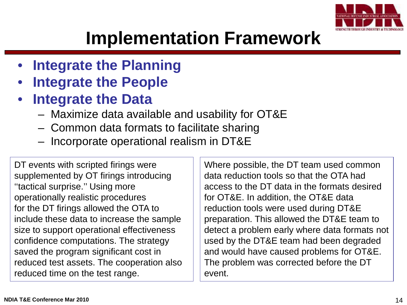

## **Implementation Framework**

- **Integrate the Planning**
- **Integrate the People**
- **Integrate the Data**
	- Maximize data available and usability for OT&E
	- Common data formats to facilitate sharing
	- Incorporate operational realism in DT&E

DT events with scripted firings were supplemented by OT firings introducing ''tactical surprise.'' Using more operationally realistic procedures for the DT firings allowed the OTA to include these data to increase the sample size to support operational effectiveness confidence computations. The strategy saved the program significant cost in reduced test assets. The cooperation also reduced time on the test range.

Where possible, the DT team used common data reduction tools so that the OTA had access to the DT data in the formats desired for OT&E. In addition, the OT&E data reduction tools were used during DT&E preparation. This allowed the DT&E team to detect a problem early where data formats not used by the DT&E team had been degraded and would have caused problems for OT&E. The problem was corrected before the DT event.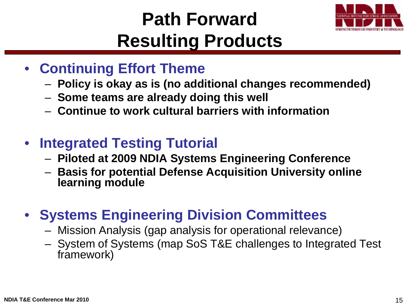# **Path Forward Resulting Products**



- **Continuing Effort Theme**
	- **Policy is okay as is (no additional changes recommended)**
	- **Some teams are already doing this well**
	- **Continue to work cultural barriers with information**
- **Integrated Testing Tutorial** 
	- **Piloted at 2009 NDIA Systems Engineering Conference**
	- **Basis for potential Defense Acquisition University online learning module**
- **Systems Engineering Division Committees**
	- Mission Analysis (gap analysis for operational relevance)
	- System of Systems (map SoS T&E challenges to Integrated Test framework)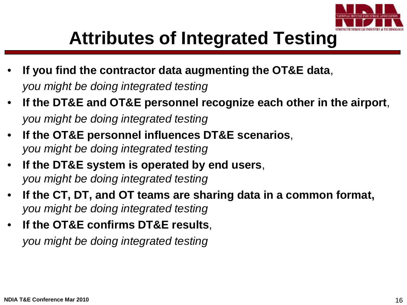

## **Attributes of Integrated Testing**

- **If you find the contractor data augmenting the OT&E data**, *you might be doing integrated testing*
- **If the DT&E and OT&E personnel recognize each other in the airport**, *you might be doing integrated testing*
- **If the OT&E personnel influences DT&E scenarios**, *you might be doing integrated testing*
- **If the DT&E system is operated by end users**, *you might be doing integrated testing*
- **If the CT, DT, and OT teams are sharing data in a common format,** *you might be doing integrated testing*
- **If the OT&E confirms DT&E results**, *you might be doing integrated testing*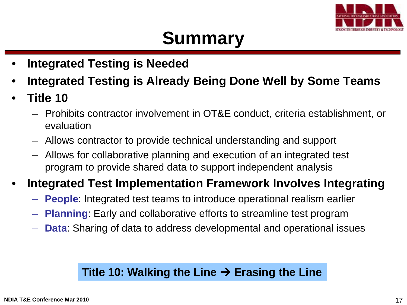

## **Summary**

- **Integrated Testing is Needed**
- **Integrated Testing is Already Being Done Well by Some Teams**
- **Title 10** 
	- Prohibits contractor involvement in OT&E conduct, criteria establishment, or evaluation
	- Allows contractor to provide technical understanding and support
	- Allows for collaborative planning and execution of an integrated test program to provide shared data to support independent analysis

### • **Integrated Test Implementation Framework Involves Integrating**

- **People**: Integrated test teams to introduce operational realism earlier
- **Planning**: Early and collaborative efforts to streamline test program
- **Data**: Sharing of data to address developmental and operational issues

#### Title 10: Walking the Line  $\rightarrow$  Erasing the Line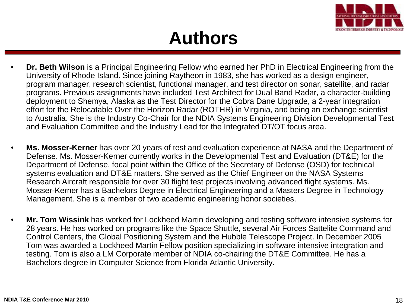

## **Authors**

- **Dr. Beth Wilson** is a Principal Engineering Fellow who earned her PhD in Electrical Engineering from the University of Rhode Island. Since joining Raytheon in 1983, she has worked as a design engineer, program manager, research scientist, functional manager, and test director on sonar, satellite, and radar programs. Previous assignments have included Test Architect for Dual Band Radar, a character-building deployment to Shemya, Alaska as the Test Director for the Cobra Dane Upgrade, a 2-year integration effort for the Relocatable Over the Horizon Radar (ROTHR) in Virginia, and being an exchange scientist to Australia. She is the Industry Co-Chair for the NDIA Systems Engineering Division Developmental Test and Evaluation Committee and the Industry Lead for the Integrated DT/OT focus area.
- **Ms. Mosser-Kerner** has over 20 years of test and evaluation experience at NASA and the Department of Defense. Ms. Mosser-Kerner currently works in the Developmental Test and Evaluation (DT&E) for the Department of Defense, focal point within the Office of the Secretary of Defense (OSD) for technical systems evaluation and DT&E matters. She served as the Chief Engineer on the NASA Systems Research Aircraft responsible for over 30 flight test projects involving advanced flight systems. Ms. Mosser-Kerner has a Bachelors Degree in Electrical Engineering and a Masters Degree in Technology Management. She is a member of two academic engineering honor societies.
- **Mr. Tom Wissink** has worked for Lockheed Martin developing and testing software intensive systems for 28 years. He has worked on programs like the Space Shuttle, several Air Forces Sattelite Command and Control Centers, the Global Positioning System and the Hubble Telescope Project. In December 2005 Tom was awarded a Lockheed Martin Fellow position specializing in software intensive integration and testing. Tom is also a LM Corporate member of NDIA co-chairing the DT&E Committee. He has a Bachelors degree in Computer Science from Florida Atlantic University.